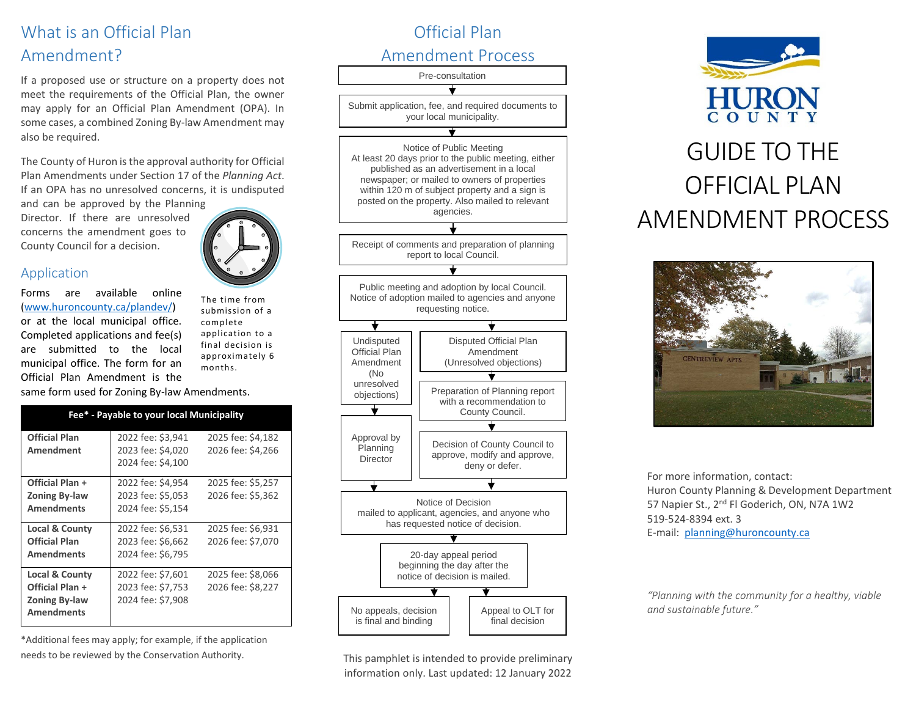# What is an Official Plan Amendment?

If a proposed use or structure on a property does not meet the requirements of the Official Plan, the owner may apply for an Official Plan Amendment (OPA). In some cases, a combined Zoning By-law Amendment may also be required.

The County of Huron is the approval authority for Official Plan Amendments under Section 17 of the *Planning Act*. If an OPA has no unresolved concerns, it is undisputed

and can be approved by the Planning Director. If there are unresolved concerns the amendment goes to County Council for a decision.



#### Application

Forms are available online (www.huroncounty.ca/plandev/) or at the local municipal office. Completed applications and fee(s) are submitted to the local municipal office. The form for an Official Plan Amendment is the

The time from submission of a complete application to a final decision is approximately 6 months.

same form used for Zoning By-law Amendments.

| Fee* - Payable to your local Municipality |                                        |                                        |
|-------------------------------------------|----------------------------------------|----------------------------------------|
| <b>Official Plan</b><br>Amendment         | 2022 fee: \$3,941<br>2023 fee: \$4,020 | 2025 fee: \$4,182<br>2026 fee: \$4,266 |
|                                           | 2024 fee: \$4,100                      |                                        |
| Official Plan +                           | 2022 fee: \$4,954                      | 2025 fee: \$5,257                      |
| <b>Zoning By-law</b>                      | 2023 fee: \$5,053                      | 2026 fee: \$5,362                      |
| <b>Amendments</b>                         | 2024 fee: \$5,154                      |                                        |
| Local & County                            | 2022 fee: \$6,531                      | 2025 fee: \$6,931                      |
| Official Plan                             | 2023 fee: \$6,662                      | 2026 fee: \$7,070                      |
| <b>Amendments</b>                         | 2024 fee: \$6,795                      |                                        |
| Local & County                            | 2022 fee: \$7,601                      | 2025 fee: \$8,066                      |
| Official Plan +                           | 2023 fee: \$7,753                      | 2026 fee: \$8,227                      |
| <b>Zoning By-law</b><br><b>Amendments</b> | 2024 fee: \$7,908                      |                                        |

\*Additional fees may apply; for example, if the application needs to be reviewed by the Conservation Authority.



This pamphlet is intended to provide preliminary information only. Last updated: 12 January 2022





For more information, contact: Huron County Planning & Development Department 57 Napier St., 2<sup>nd</sup> Fl Goderich, ON, N7A 1W2 519-524-8394 ext. 3 E-mail: [planning@huroncounty.ca](mailto:planning@huroncounty.ca)

*"Planning with the community for a healthy, viable and sustainable future."*